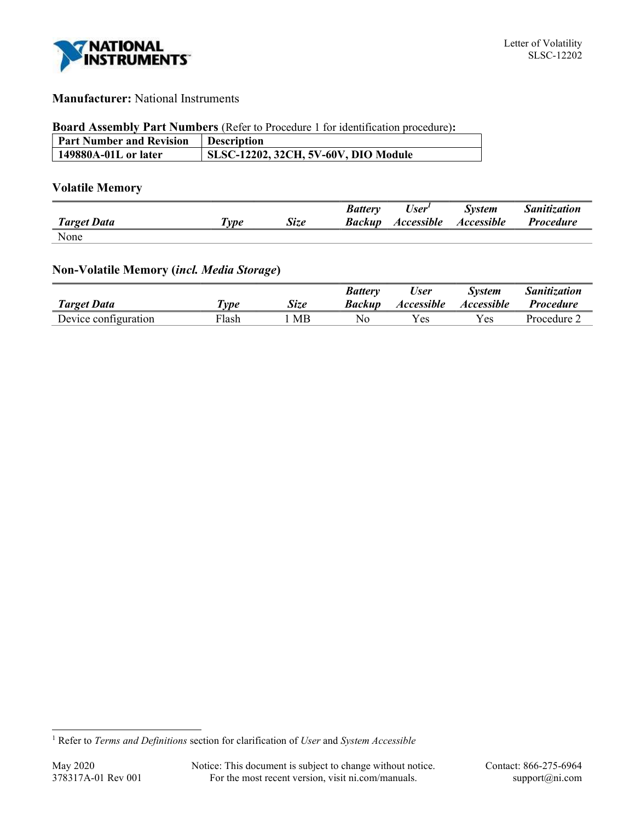

# Manufacturer: National Instruments

#### Board Assembly Part Numbers (Refer to Procedure 1 for identification procedure):

| <b>Part Number and Revision</b> | <b>Description</b>                   |
|---------------------------------|--------------------------------------|
| 149880A-01L or later            | SLSC-12202, 32CH, 5V-60V, DIO Module |

# Volatile Memory

|                    |       |             | <b>Battery</b> | User <sup>1</sup> | <b>System</b> | <b>Sanitization</b> |
|--------------------|-------|-------------|----------------|-------------------|---------------|---------------------|
| <b>Target Data</b> | l'vpe | <b>Size</b> | Backup         | <b>Accessible</b> | Accessible    | <i>Procedure</i>    |
| None               |       |             |                |                   |               |                     |

# Non-Volatile Memory (incl. Media Storage)

|                      |       |             | Battery | User                     | Svstem            | <i>Sanitization</i> |
|----------------------|-------|-------------|---------|--------------------------|-------------------|---------------------|
| <b>Target Data</b>   | 'vpe  | <b>Size</b> | Backup  | <i><b>Accessible</b></i> | <i>Accessible</i> | <i>Procedure</i>    |
| Device configuration | Flash | MB          | No      | 'es                      | Yes.              | Procedure $\angle$  |

<sup>&</sup>lt;sup>1</sup> Refer to Terms and Definitions section for clarification of User and System Accessible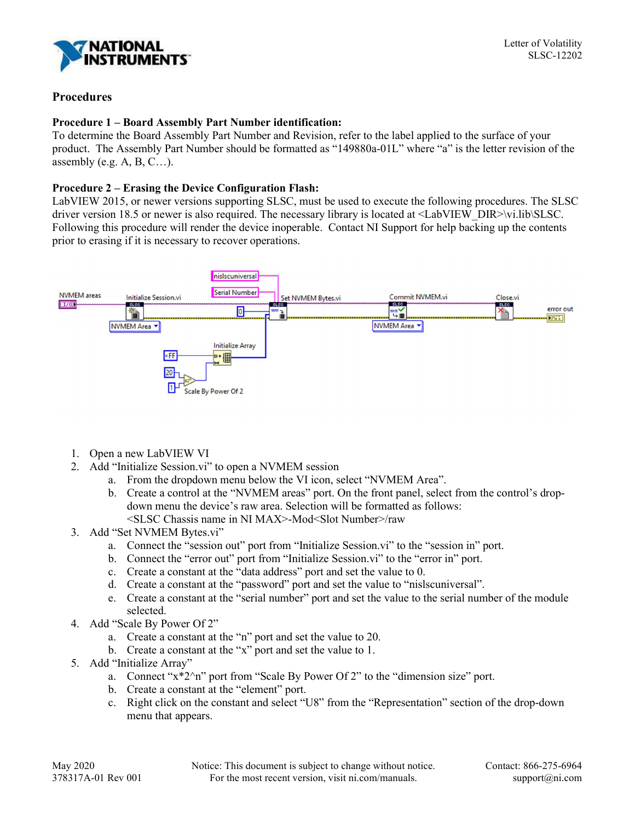

## Procedures

## Procedure 1 – Board Assembly Part Number identification:

To determine the Board Assembly Part Number and Revision, refer to the label applied to the surface of your product. The Assembly Part Number should be formatted as "149880a-01L" where "a" is the letter revision of the assembly (e.g.  $A, B, C$ ...).

## Procedure 2 – Erasing the Device Configuration Flash:

LabVIEW 2015, or newer versions supporting SLSC, must be used to execute the following procedures. The SLSC driver version 18.5 or newer is also required. The necessary library is located at  $\triangle$ LabVIEW\_DIR>\vi.lib\SLSC. Following this procedure will render the device inoperable. Contact NI Support for help backing up the contents prior to erasing if it is necessary to recover operations.



- 1. Open a new LabVIEW VI
- 2. Add "Initialize Session.vi" to open a NVMEM session
	- a. From the dropdown menu below the VI icon, select "NVMEM Area".
	- b. Create a control at the "NVMEM areas" port. On the front panel, select from the control's dropdown menu the device's raw area. Selection will be formatted as follows: <SLSC Chassis name in NI MAX>-Mod<Slot Number>/raw
- 3. Add "Set NVMEM Bytes.vi"
	- a. Connect the "session out" port from "Initialize Session.vi" to the "session in" port.
	- b. Connect the "error out" port from "Initialize Session.vi" to the "error in" port.
	- c. Create a constant at the "data address" port and set the value to 0.
	- d. Create a constant at the "password" port and set the value to "nislscuniversal".
	- e. Create a constant at the "serial number" port and set the value to the serial number of the module selected.
- 4. Add "Scale By Power Of 2"
	- a. Create a constant at the "n" port and set the value to 20.
	- b. Create a constant at the "x" port and set the value to 1.
- 5. Add "Initialize Array"
	- a. Connect "x\*2^n" port from "Scale By Power Of 2" to the "dimension size" port.
	- b. Create a constant at the "element" port.
	- c. Right click on the constant and select "U8" from the "Representation" section of the drop-down menu that appears.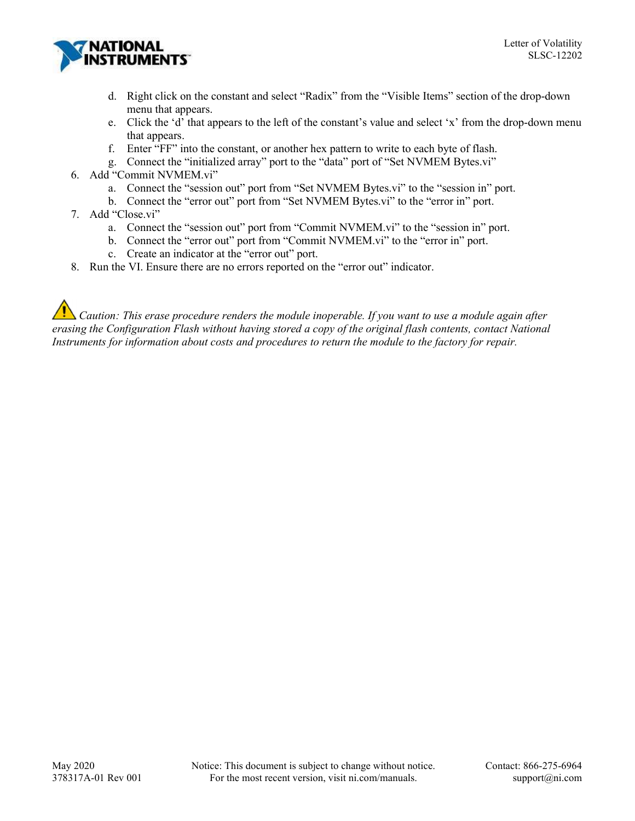

- d. Right click on the constant and select "Radix" from the "Visible Items" section of the drop-down menu that appears.
- e. Click the 'd' that appears to the left of the constant's value and select 'x' from the drop-down menu that appears.
- f. Enter "FF" into the constant, or another hex pattern to write to each byte of flash.
- g. Connect the "initialized array" port to the "data" port of "Set NVMEM Bytes.vi"
- 6. Add "Commit NVMEM.vi"
	- a. Connect the "session out" port from "Set NVMEM Bytes.vi" to the "session in" port.
	- b. Connect the "error out" port from "Set NVMEM Bytes.vi" to the "error in" port.
- 7. Add "Close.vi"
	- a. Connect the "session out" port from "Commit NVMEM.vi" to the "session in" port.
	- b. Connect the "error out" port from "Commit NVMEM.vi" to the "error in" port.
	- c. Create an indicator at the "error out" port.
- 8. Run the VI. Ensure there are no errors reported on the "error out" indicator.

 $\sum$  Caution: This erase procedure renders the module inoperable. If you want to use a module again after erasing the Configuration Flash without having stored a copy of the original flash contents, contact National Instruments for information about costs and procedures to return the module to the factory for repair.